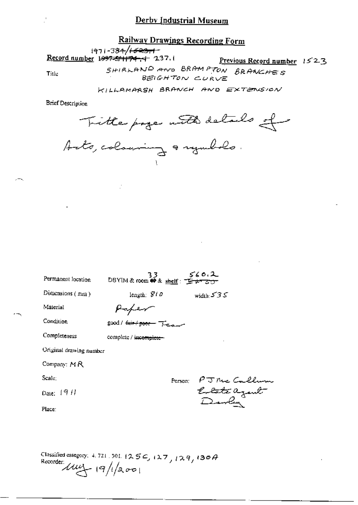## **Railway Drawings Recording Form**

 $\frac{1971 - 384}{1533 + 174 + 2371}$  Record number 1997-51174-4 237.1

Title

Previous Record number 1523

SHIRLAND AND BRAMPTON BRANCHES

KILLAMARSH BRANCH AND EXTENSION

**Brief Description** 

Tritte page with details of

| Permanent location      | 33.<br>DBYIM&room 峥& shelf: 上 + 30            | 560.2                         |
|-------------------------|-----------------------------------------------|-------------------------------|
| Dimensions $(mn)$       | length: $810$                                 | width: $535$                  |
| Material                |                                               |                               |
| Condition               | cood / <del>hair / poor –</del> مسلسلة / good |                               |
| Completeness            | complete / incomplete-                        |                               |
| Original drawing number |                                               |                               |
| Company: MR             |                                               |                               |
| Scale:                  |                                               | Person:                       |
| Date: $19H$             |                                               | PJ Nic Callum<br>Eolate agent |
| Place:                  |                                               |                               |
|                         |                                               |                               |
|                         |                                               |                               |

Classified category: 4, 721, 301,  $(25\degree\text{C}, 12\degree\text{C}, 12\degree\text{C}, 13\degree\text{A})$ Recorder  $\mu$  19/1/2001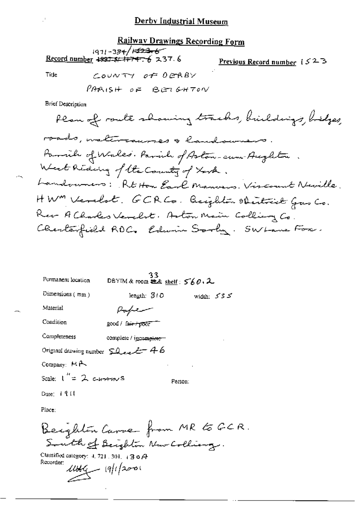#### **Railway Drawings Recording Form**

 $1971 - 384 / 1523 - 6$ Record number 4997 5/ 1+747 6 237.6

Previous Record number  $1523$ 

Tide

PARISH OF BETGHTON

COUNTY OF DERBY

Brief Description

Plan of route showing tracks, buildings, bidges, roads, waltercaurses & landowners. Parrich of Wales. Parish of Aston-cum Aughton. West Reding of the Country of Look. Landowners: Rt Hon Earl Manuers. Vircount Neville. HWM Verelst. GCRCs. Beighton Obertrick Gus Co. Rev A Charles Verelst. Aston Main Colling Co. Charlespield ROC. Edwin Sorly. SWLane Fox.

| Permanent location                         | 33<br>DBYIM & room $x \text{ and } y \text{ is odd}$ |              |
|--------------------------------------------|------------------------------------------------------|--------------|
| Dimensions $(mm)$                          | length: 310                                          | width: $535$ |
| Material                                   | Popen                                                |              |
| Condition                                  | good / fair + poor                                   |              |
| Completeness                               | complete / incomplete-                               |              |
| Original drawing number $\Omega$ even $46$ |                                                      |              |
| Company: $M \rightarrow$                   |                                                      |              |
| Scale: $1'' = 2$ c-trains                  |                                                      | Person:      |
| Date: $191$                                |                                                      |              |
|                                            |                                                      |              |

Place:

Beighton Carve from MR to GCR. South of Beighton New Colliang.

Classified category:  $4, 721, 301, 43$  o  $\cancel{A}$ Recorder:  $11114$   $(9)12001$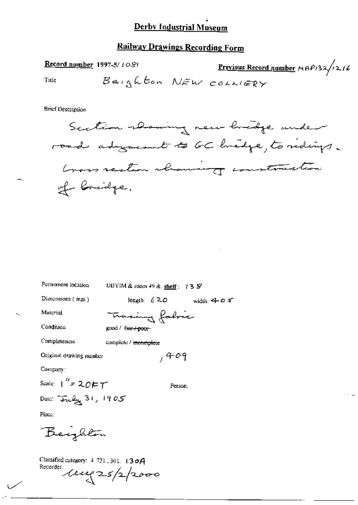## **Railway Drawings Recording Form**

| Record number 1997-5/1080 |                       | <u>Previous Record number</u> $\mu$ RP132/1216 |  |
|---------------------------|-----------------------|------------------------------------------------|--|
| Title                     | Beighton NEW COLLIERY |                                                |  |

**Brief Description** 

Permanent location

DBYIM & room 49 & shelf: 13 S

Dimensions (mm)

length:  $620$  width:  $405$ 

Person:

Material Condition

<del>macing</del> fabric good / fair+poor-

Completeness complete / incomplete

 $,409$ Original drawing number

Company:

Scale:  $1'' = 20FT$ Date: July 31, 1905

Place:

Beighton

Classified category: 4.721.301. 130A<br>Recorder:<br>Lette 25/2/2000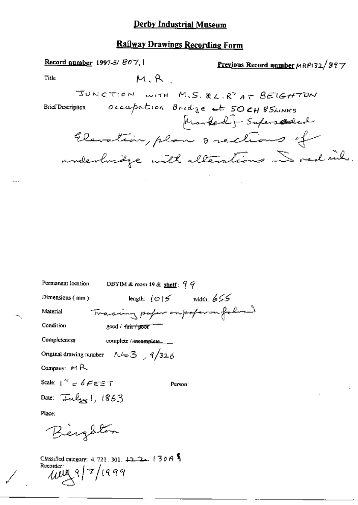### **Railway Drawings Recording Form**

Record number 1997-5/807, 1 Previous Record number MRP132/897  $M, R$ **Title** JUNCTION WITH M.S. &L.R<sup>Y</sup> AT BEIGHTON occupation Bridge at 50CH 85AINKS **Brief Description** Marked- Superstaded Elevation, plan orections of underbridge with alterations in red inh.

| Permanent location<br>DBYIM & room 49 & shelf: $9.9$                                  |
|---------------------------------------------------------------------------------------|
| length: $\lfloor \varphi \rfloor$ > width: 655<br>Dimensions $(mm)$                   |
| Tracing paper on paperoufalocal<br>Material                                           |
| Condition<br>good / <del>fair/ poor</del>                                             |
| Completeness<br>complete / incomplete_                                                |
| Original drawing number $\sim 3$ , 9/326                                              |
| Company: $M R$                                                                        |
| Scale: $1'' \neq 6$ FEET<br>Person:                                                   |
| Date: $\overline{J}nl_{\mathcal{H}}l$ , $1863$                                        |
| Place:                                                                                |
| Beighton                                                                              |
| Classified category: 4, 721, 301, $\downarrow$ 2 2 (30 A<br>Recorder:<br>MUA 9/7/1999 |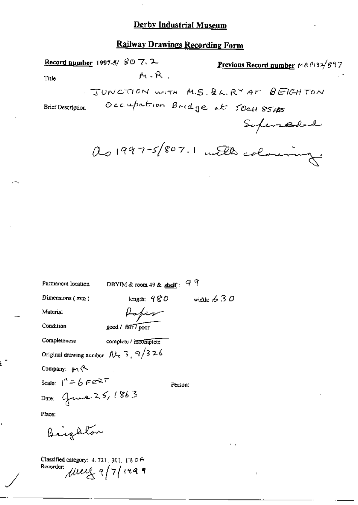# Railway Drawings Recording Form

|                                                                           | Record number 1997-5/ $\mathcal{C} \circ \mathcal{C} \circ \mathcal{C}$ . | Previous Record number MRP132/897       |
|---------------------------------------------------------------------------|---------------------------------------------------------------------------|-----------------------------------------|
| Title                                                                     | M-R.                                                                      |                                         |
|                                                                           |                                                                           | . JUNCTION WITH M.S. QL. RY AT BEIGHTON |
| <b>Brief Description</b>                                                  |                                                                           | Occupation Bridge at 50CH 8545          |
|                                                                           |                                                                           | Superseded                              |
|                                                                           |                                                                           | as 1997-5/807.1 with colouring:         |
|                                                                           |                                                                           |                                         |
|                                                                           |                                                                           |                                         |
|                                                                           |                                                                           |                                         |
| Permanent location                                                        | DBYIM & room $49$ & shelf: $9$ 9                                          |                                         |
| Dimensions (mm)                                                           | length: $980$                                                             | width: $630$                            |
| Material                                                                  | foper                                                                     |                                         |
| Condition                                                                 | good / Fair / poor                                                        |                                         |
| Completeness                                                              | complete / mcomplete                                                      |                                         |
|                                                                           | Original drawing number $N_0$ 3, $9/326$                                  |                                         |
| Company: $\mu_1$ (2)                                                      |                                                                           |                                         |
| Scale: $1'' = 6$ Fe <sup>rely T</sup>                                     | Person:                                                                   |                                         |
| Date: Grave 25, 1863                                                      |                                                                           |                                         |
| Place:                                                                    |                                                                           |                                         |
| Biighton                                                                  |                                                                           | ٠.                                      |
| Classified category: 4, 721, 301, 13 0 $\theta$<br>Recorder: Muy 9/7/1999 |                                                                           | т.                                      |

Ł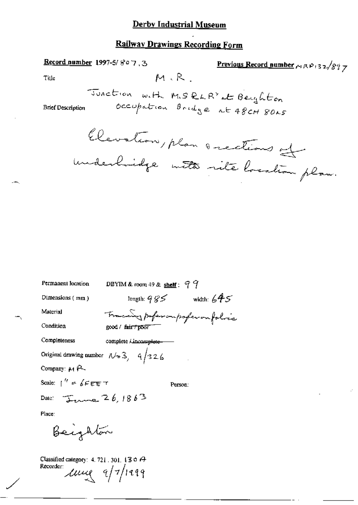### Railway Drawings Recording Form

Record number 1997-5/ $807.3$ Previous Record number  $\sim RP_132/877$  $M, R$ Title Junction with M.S. RLR<sup>Y</sup> at Beighton occupation Bridge at 48CH 80AS **Brief Description** Elevation, plan anections of underhandge mette site location plan. DBYIM & room 49 & shelf:  $99$ Permanent location length:  $985$  width:  $645$ Dimensions  $(mn)$ Traceing profession profession folice Material Condition good / fair + poor Completeness complete *kincomplete*-Original drawing number  $N > 3$ ,  $9/326$ Company: M P Scale:  $\int^{t_f} \in \oint \mathcal{L}$   $\in$   $\mathcal{L}$ Person: Date:  $\overline{1}$ Place:

Beighton

Classified category: 4, 721, 301, 13 o A Recorder  $\mu$  $\sim$  9/7/1999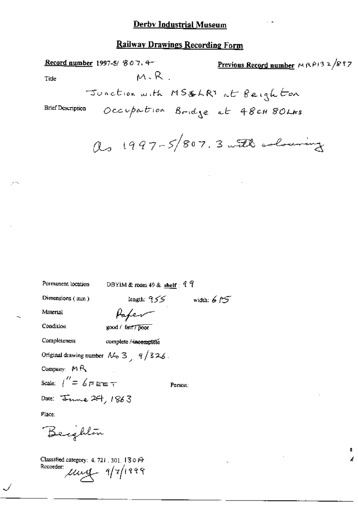$\sim$   $\sim$ 

 $\mathbf{f}_i$  $\overline{a}$ 

## **Railway Drawings Recording Form**

|                                                             | Record number 1997-5/ 807.4-                                  | Previous Record number $MRP/32/877$ |
|-------------------------------------------------------------|---------------------------------------------------------------|-------------------------------------|
| Title                                                       | M.R.                                                          |                                     |
|                                                             |                                                               | Junction with MS&LRY at Beighton    |
| <b>Brief Description</b>                                    |                                                               | Occupation Bridge at 48CH 80LAS     |
|                                                             |                                                               | as 1997-5/807.3 with colouring      |
|                                                             |                                                               |                                     |
|                                                             |                                                               |                                     |
|                                                             |                                                               |                                     |
|                                                             |                                                               |                                     |
|                                                             |                                                               |                                     |
|                                                             |                                                               |                                     |
| Permanent location                                          | DBYIM & room 49 & shelf: $97$                                 |                                     |
| Dimensions (mm)                                             |                                                               | length: $955$ width: $675$          |
| Material                                                    | Paper                                                         |                                     |
| Condition                                                   | good / fair7 poor                                             |                                     |
| Completeness                                                | complete / incomplete                                         |                                     |
|                                                             | Original drawing number $\mathcal{M}_p$ 3, $\frac{q}{3}$ 326. |                                     |
| Company: $M R$                                              |                                                               |                                     |
| Scale: $1'' = 6F$ F E E T                                   |                                                               | Person:                             |
| Date: Jame 24, 1863                                         |                                                               |                                     |
| Place:                                                      |                                                               |                                     |
| Beighlon                                                    |                                                               |                                     |
| Classified category: 4, 721, 301, 130 $\Theta$<br>Recorder: | $\mu$ ung 9/7/1999                                            |                                     |

 $\checkmark$ 

لحاجر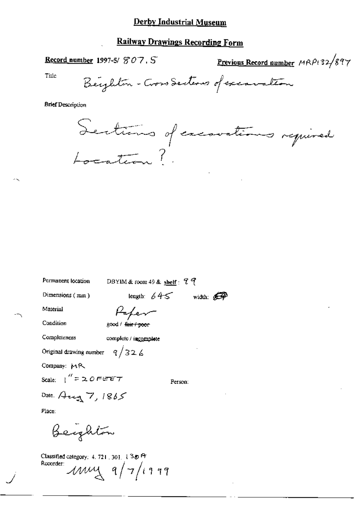## **Railway Drawings Recording Form**

Record number 1997-5/807.5

Previous Record number MRP132/897

Title

**Brief Description** 

Sections of executions required

Permanent location

DBYIM & room 49 & shelf: 99

Dimensions (mm)

length:  $645$  width:  $\bigoplus$ 

Material

Condition

Paper good / fair / poor

Completeness

complete / incomplete

Original drawing number  $9/326$ 

Company: MR

Scale:  $\int$ <sup>"</sup> = 20 FEET

Person:

Date. Aug 7, 1865

Place:

Beighton

Classified category: 4, 721, 301, 130 ft Recorder:  $\mu$  $\mu$  $\lambda$   $q/7$ /1999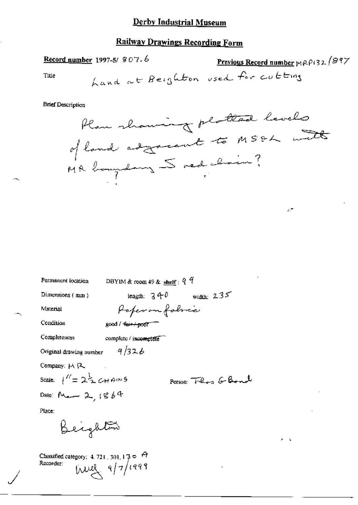# Railway Drawings Recording Form

$$
\underline{\text{Record number}} 1997-5/907.6
$$

Previous Record number 
$$
MPP132.897
$$

 $\mathcal{F}$ 

 $\ddot{\phantom{a}}$ 

Title

**Brief Description** 

| Permanent location                                                | DBYIM & room 49 & $\frac{\text{shelf}}{\text{shelf}}$ : $9\frac{9}{4}$ |
|-------------------------------------------------------------------|------------------------------------------------------------------------|
| Dimensions (mm)                                                   | width: $235$<br>length: $3 + 0$                                        |
| Material                                                          | Paperon fabric                                                         |
| Condition                                                         | good / <del>fair / poor</del>                                          |
| Completeness                                                      | complete / incomplete                                                  |
| Original drawing number                                           | 9/326                                                                  |
| Company: M R.                                                     |                                                                        |
| Scale: $1'' = 2\frac{1}{2} C H^{4/10}$                            | Person: Theos G Bond                                                   |
| Date: Man 2, $1864$                                               |                                                                        |
| Place:                                                            |                                                                        |
| Beighton                                                          |                                                                        |
| Classified category: $4.721$ , $301$ , $13$ $\sigma$<br>Recorder: | $10^{1449}$                                                            |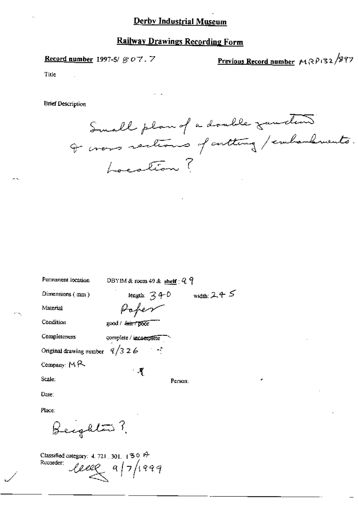### **Railway Drawings Recording Form**

Record number 1997-5/ $\mathcal{G}$  O 7. 7

Previous Record number MRP132/897

Title

**Brief Description** 

Small plan of a double zunden I cross sections of cutting / embandements. Location?

| Permanent location      | DBYIM & room 49 & shelf: $9.9$                                                   |
|-------------------------|----------------------------------------------------------------------------------|
| Dimensions (mm)         | width: $2 + 5$<br>length: $\mathcal{Z}$ $\leftarrow$ 0                           |
| Material                | Poper                                                                            |
| Condition               | good / fair / poor                                                               |
| Completeness            | complete / incomplete                                                            |
| Original drawing comber | 9/326<br>$\mathcal{F}^{\mathcal{F}}$ , $\mathcal{F}^{\mathcal{F}}_{\mathcal{F}}$ |
| Company: $M \sim$       | $\mathcal{A}$                                                                    |
| Scale:                  | Person:                                                                          |
| Date:                   |                                                                                  |

Place:

Beighton ?

Classified category: 4, 721, 301,  $(30 \theta^2)$ Rucorder:  $leeg$  a/7/1999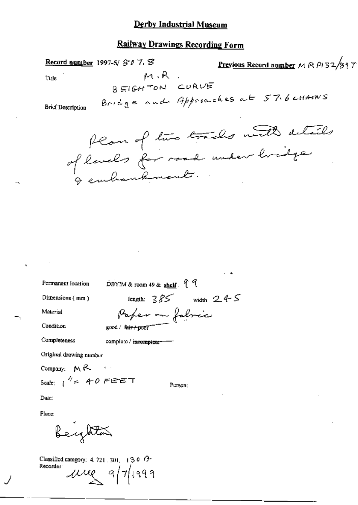### **Railway Drawings Recording Form**

**Previous Record number**  $M \otimes P132/897$ Record number 1997-5/ $$0$  7.  $$$  $M, R$ . Title BEIGHTON CURVE Bridge and Approaches at 57.6 chains **Brief Description** flam of two tracks with details

of lands for road under hridge

Permanent location

DBYIM & room 49 & shelf:  $99$ 

Paper on fabric

Dimensions (mm)

Material

Condition

Completeness

complete / incomplete-

good / fair+poor

Original drawing number

Company:  $M \uparrow \uparrow$ 

Scale:  $1^{1/2}$  = 40 FEET

Person:

length:  $385$  width:  $245$ 

Date:

Place:

Beyltar

Classified category: 4, 721, 301, 130 $9$ Recorder:  $\mu$ ue a/7/1999